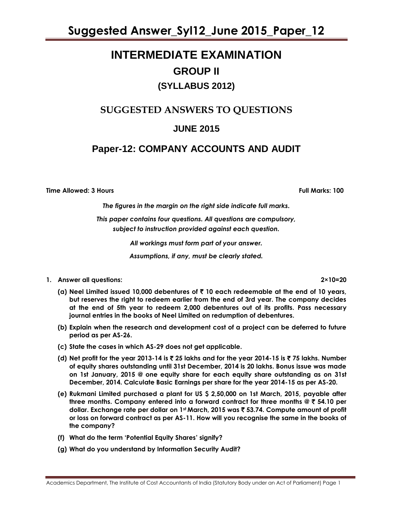# **INTERMEDIATE EXAMINATION GROUP II (SYLLABUS 2012)**

# **SUGGESTED ANSWERS TO QUESTIONS**

# **JUNE 2015**

# **Paper-12: COMPANY ACCOUNTS AND AUDIT**

**Time Allowed: 3 Hours Full Marks: 100**

*The figures in the margin on the right side indicate full marks.*

*This paper contains four questions. All questions are compulsory, subject to instruction provided against each question.*

*All workings must form part of your answer.*

*Assumptions, if any, must be clearly stated.*

**1. Answer all questions: 2×10=20**

**(a) Neel Limited issued 10,000 debentures of** ` **10 each redeemable at the end of 10 years, but reserves the right to redeem earlier from the end of 3rd year. The company decides at the end of 5th year to redeem 2,000 debentures out of its profits. Pass necessary journal entries in the books of Neel Limited on redumption of debentures.**

- **(b) Explain when the research and development cost of a project can be deferred to future period as per AS-26.**
- **(c) State the cases in which AS-29 does not get applicable.**
- **(d) Net profit for the year 2013-14 is** ` **25 lakhs and for the year 2014-15 is** ` **75 lakhs. Number of equity shares outstanding until 31st December, 2014 is 20 lakhs. Bonus issue was made on 1st January, 2015 @ one equity share for each equity share outstanding as on 31st December, 2014. Calculate Basic Earnings per share for the year 2014-15 as per AS-20.**
- **(e) Rukmani Limited purchased a plant for US \$ 2,50,000 on 1st March, 2015, payable after three months. Company entered into a forward contract for three months @** ` **54.10 per dollar. Exchange rate per dollar on 1st March, 2015 was** ` **53.74. Compute amount of profit or loss on forward contract as per AS-11. How will you recognise the same in the books of the company?**
- **(f) What do the term "Potential Equity Shares" signify?**
- **(g) What do you understand by Information Security Audit?**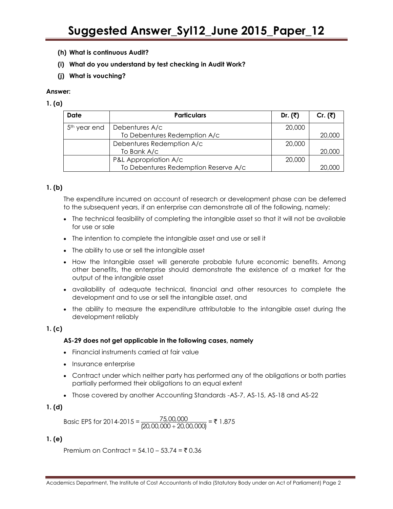- **(h) What is continuous Audit?**
- **(i) What do you understand by test checking in Audit Work?**
- **(j) What is vouching?**

# **1. (a)**

| Date                     | <b>Particulars</b>                   | Dr. $(3)$ | Cr. (₹) |
|--------------------------|--------------------------------------|-----------|---------|
| 5 <sup>th</sup> year end | Debentures A/c                       | 20,000    |         |
|                          | To Debentures Redemption A/c         |           | 20,000  |
|                          | Debentures Redemption A/c            | 20,000    |         |
|                          | To Bank A/c                          |           | 20,000  |
|                          | P&L Appropriation A/c                | 20,000    |         |
|                          | To Debentures Redemption Reserve A/c |           | 20,000  |

# **1. (b)**

The expenditure incurred on account of research or development phase can be deferred to the subsequent years, if an enterprise can demonstrate all of the following, namely:

- The technical feasibility of completing the intangible asset so that it will not be available for use or sale
- The intention to complete the intangible asset and use or sell it
- The ability to use or sell the intangible asset
- How the Intangible asset will generate probable future economic benefits. Among other benefits, the enterprise should demonstrate the existence of a market for the output of the intangible asset
- availability of adequate technical, financial and other resources to complete the development and to use or sell the intangible asset, and
- the ability to measure the expenditure attributable to the intangible asset during the development reliably

# **1. (c)**

## **AS-29 does not get applicable in the following cases, namely**

- Financial instruments carried at fair value
- Insurance enterprise
- Contract under which neither party has performed any of the obligations or both parties partially performed their obligations to an equal extent
- Those covered by another Accounting Standards -AS-7, AS-15, AS-18 and AS-22

# **1. (d)**

Basic EPS for 2014-2015 =  $\frac{75,00}{(20,00,000+)}$  $\frac{75,00,000}{(20,00,000+20,00,000)}$  = ₹ 1.875

# **1. (e)**

Premium on Contract =  $54.10 - 53.74 = ₹ 0.36$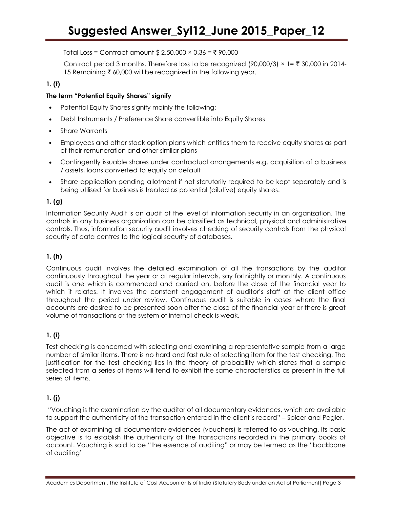Total Loss = Contract amount \$ 2,50,000  $\times$  0.36 = ₹ 90,000

Contract period 3 months. Therefore loss to be recognized (90,000/3)  $\times$  1= ₹ 30,000 in 2014-15 Remaining  $\bar{\tau}$  60,000 will be recognized in the following year.

# **1. (f)**

# **The term "Potential Equity Shares" signify**

- Potential Equity Shares signify mainly the following:
- Debt Instruments / Preference Share convertible into Equity Shares
- Share Warrants
- Employees and other stock option plans which entities them to receive equity shares as part of their remuneration and other similar plans
- Contingently issuable shares under contractual arrangements e.g. acquisition of a business / assets, loans converted to equity on default
- Share application pending allotment if not statutorily required to be kept separately and is being utilised for business is treated as potential (dilutive) equity shares.

# **1. (g)**

Information Security Audit is an audit of the level of information security in an organization. The controls in any business organization can be classified as technical, physical and administrative controls. Thus, information security audit involves checking of security controls from the physical security of data centres to the logical security of databases.

# **1. (h)**

Continuous audit involves the detailed examination of all the transactions by the auditor continuously throughout the year or at regular intervals, say fortnightly or monthly. A continuous audit is one which is commenced and carried on, before the close of the financial year to which it relates. It involves the constant engagement of auditor"s staff at the client office throughout the period under review. Continuous audit is suitable in cases where the final accounts are desired to be presented soon after the close of the financial year or there is great volume of transactions or the system of internal check is weak.

# **1. (i)**

Test checking is concerned with selecting and examining a representative sample from a large number of similar items. There is no hard and fast rule of selecting item for the test checking. The justification for the test checking lies in the theory of probability which states that a sample selected from a series of items will tend to exhibit the same characteristics as present in the full series of items.

# **1. (j)**

"Vouching is the examination by the auditor of all documentary evidences, which are available to support the authenticity of the transaction entered in the client`s record" – Spicer and Pegler.

The act of examining all documentary evidences (vouchers) is referred to as vouching. Its basic objective is to establish the authenticity of the transactions recorded in the primary books of account. Vouching is said to be "the essence of auditing" or may be termed as the "backbone of auditing"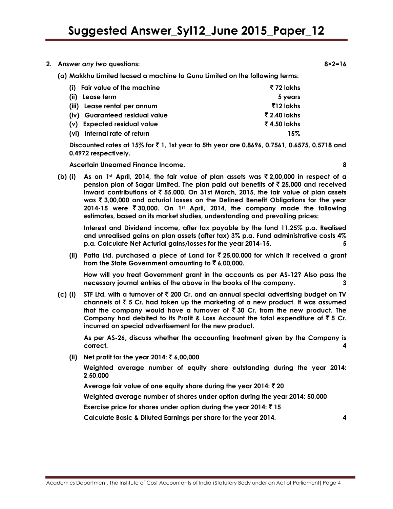- **2. Answer** *any two* **questions: 8×2=16**
	- **(a) Makkhu Limited leased a machine to Gunu Limited on the following terms:**

| (i) Fair value of the machine  | ₹72 lakhs    |
|--------------------------------|--------------|
| (ii) Lease term                | 5 years      |
| (iii) Lease rental per annum   | ₹12 lakhs    |
| (iv) Guaranteed residual value | ₹ 2.40 lakhs |
| (v) Expected residual value    | र 4.50 lakhs |
| (vi) Internal rate of return   | 15%          |

**Discounted rates at 15% for** ` **1, 1st year to 5th year are 0.8696, 0.7561, 0.6575, 0.5718 and 0.4972 respectively.**

**Ascertain Unearned Finance Income. 8**

**(b) (i) As on 1st April, 2014, the fair value of plan assets was** ` **2,00,000 in respect of a pension plan of Sagar Limited. The plan paid out benefits of** ` **25,000 and received inward contributions of** ` **55,000. On 31st March, 2015, the fair value of plan assets was** ` **3,00,000 and acturial losses on the Defined Benefit Obligations for the year 2014-15 were** ` **30,000. On 1st April, 2014, the company made the following estimates, based on its market studies, understanding and prevailing prices:**

**Interest and Dividend income, after tax payable by the fund 11.25% p.a. Realised and unrealised gains on plan assets (after tax) 3% p.a. Fund administrative costs 4% p.a. Calculate Net Acturial gains/losses for the year 2014-15. 5**

**(ii) Patta Ltd. purchased a piece of Land for** ` **25,00,000 for which it received a grant from the State Government amounting to** ` **6,00,000.**

**How will you treat Government grant in the accounts as per AS-12? Also pass the necessary journal entries of the above in the books of the company. 3**

**(c) (i) STF Ltd. with a turnover of** ` **200 Cr. and an annual special advertising budget on TV channels of** ` **5 Cr. had taken up the marketing of a new product. It was assumed that the company would have a turnover of** ` **30 Cr. from the new product. The**  Company had debited to its Profit & Loss Account the total expenditure of  $\bar{z}$  5 Cr. **incurred on special advertisement for the new product.**

**As per AS-26, discuss whether the accounting treatment given by the Company is correct. 4**

**(ii) Net profit for the year 2014:** ` **6,00,000**

**Weighted average number of equity share outstanding during the year 2014: 2,50,000**

**Average fair value of one equity share during the year 2014:** ` **20**

**Weighted average number of shares under option during the year 2014: 50,000**

**Exercise price for shares under option during the year 2014:**  $\bar{z}$  **15** 

**Calculate Basic & Diluted Earnings per share for the year 2014. 4**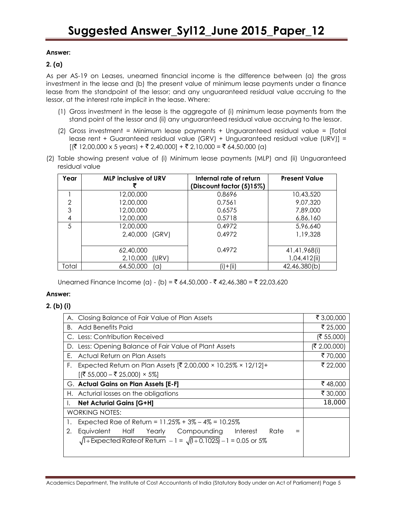# **2. (a)**

As per AS-19 on Leases, unearned financial income is the difference between (a) the gross investment in the lease and (b) the present value of minimum lease payments under a finance lease from the standpoint of the lessor; and any unguaranteed residual value accruing to the lessor, at the interest rate implicit in the lease. Where:

- (1) Gross investment in the lease is the aggregate of (i) minimum lease payments from the stand point of the lessor and (ii) any unguaranteed residual value accruing to the lessor.
- (2) Gross investment = Minimum lease payments + Unguaranteed residual value = [Total lease rent + Guaranteed residual value (GRV) + Unguaranteed residual value (URV)] =  $[(\overline{3} \ 12,00,000 \times 5 \text{ years}) + \overline{3} \ 2,40,000] + \overline{3} \ 2,10,000 = \overline{3} \ 64,50,000 \ (a)]$
- (2) Table showing present value of (i) Minimum lease payments (MLP) and (ii) Unguaranteed residual value

| Year  | <b>MLP inclusive of URV</b> | Internal rate of return<br>(Discount factor (5)15%) | <b>Present Value</b> |
|-------|-----------------------------|-----------------------------------------------------|----------------------|
|       | 12,00,000                   | 0.8696                                              | 10,43,520            |
| 2     | 12,00,000                   | 0.7561                                              | 9,07,320             |
| 3     | 12,00,000                   | 0.6575                                              | 7,89,000             |
| 4     | 12,00,000                   | 0.5718                                              | 6,86,160             |
| 5     | 12,00,000                   | 0.4972                                              | 5,96,640             |
|       | 2,40,000 (GRV)              | 0.4972                                              | 1,19,328             |
|       | 62,40,000                   | 0.4972                                              | 41,41,968(i)         |
|       | 2,10,000<br>(URV)           |                                                     | 1,04,412(ii)         |
|       |                             |                                                     |                      |
| Total | 64,50,000<br>la             | $(i) + (ii)$                                        | 42,46,380(b)         |

Unearned Finance Income (a) - (b) = ₹ 64,50,000 - ₹ 42,46,380 = ₹ 22,03,620

## **Answer:**

# **2. (b) (i)**

| A. Closing Balance of Fair Value of Plan Assets                             | ₹ 3,00,000   |
|-----------------------------------------------------------------------------|--------------|
| Add Benefits Paid<br>В.                                                     | ₹ 25,000     |
| C. Less: Contribution Received                                              | (₹ 55,000)   |
| D. Less: Opening Balance of Fair Value of Plant Assets                      | (₹ 2,00,000) |
| Actual Return on Plan Assets<br>F.                                          | ₹70,000      |
| Expected Return on Plan Assets [₹ 2,00,000 × 10.25% × 12/12]+<br>F.         | ₹ 22,000     |
| $[(\overline{$} 55,000 - \overline{$} 25,000) \times 5\%]$                  |              |
| G. Actual Gains on Plan Assets [E-F]                                        | ₹48,000      |
| H. Acturial losses on the obligations                                       | ₹ 30,000     |
| <b>Net Acturial Gains [G+H]</b><br>Ι.                                       | 18,000       |
| <b>WORKING NOTES:</b>                                                       |              |
| Expected Rae of Return = $11.25\% + 3\% - 4\% = 10.25\%$                    |              |
| Equivalent<br>Half Yearly Compounding Interest<br>Rate<br>2.                |              |
| $\sqrt{1+}$ Expected Rate of Return $-1 = \sqrt{1+0.1025} - 1 = 0.05$ or 5% |              |
|                                                                             |              |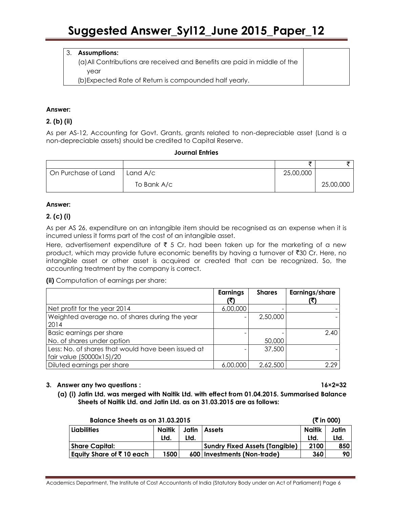# 3. **Assumptions:**

(a)All Contributions are received and Benefits are paid in middle of the year

(b)Expected Rate of Return is compounded half yearly.

# **Answer:**

# **2. (b) (ii)**

As per AS-12, Accounting for Govt. Grants, grants related to non-depreciable asset (Land is a non-depreciable assets) should be credited to Capital Reserve.

## **Journal Entries**

| On Purchase of Land | Land A/c    | 25,00,000 |           |
|---------------------|-------------|-----------|-----------|
|                     | To Bank A/c |           | 25,00,000 |

#### **Answer:**

# **2. (c) (i)**

As per AS 26, expenditure on an intangible item should be recognised as an expense when it is incurred unless it forms part of the cost of an intangible asset.

Here, advertisement expenditure of  $\bar{\tau}$  5 Cr. had been taken up for the marketing of a new product, which may provide future economic benefits by having a turnover of  $\bar{z}$ 30 Cr. Here, no intangible asset or other asset is acquired or created that can be recognized. So, the accounting treatment by the company is correct.

**(ii)** Computation of earnings per share:

|                                                                                | <b>Earnings</b> | <b>Shares</b> | Earnings/share |
|--------------------------------------------------------------------------------|-----------------|---------------|----------------|
| Net profit for the year 2014                                                   | 6,00,000        |               |                |
| Weighted average no. of shares during the year<br>2014                         |                 | 2,50,000      |                |
| Basic earnings per share<br>No. of shares under option                         |                 | 50,000        | 2.40           |
| Less: No. of shares that would have been issued at<br>fair value (50000x15)/20 |                 | 37,500        |                |
| Diluted earnings per share                                                     | 6,00,000        | 2,62,500      | 2.29           |

## **3. Answer any two questions : 16×2=32**

**(a) (i) Jatin Ltd. was merged with Naitik Ltd. with effect from 01.04.2015. Summarised Balance Sheets of Naitik Ltd. and Jatin Ltd. as on 31.03.2015 are as follows:**

| Balance Sheets as on 31.03.2015      |               |       | ( $\bar{z}$ in 000)                   |               |       |
|--------------------------------------|---------------|-------|---------------------------------------|---------------|-------|
| <b>Liabilities</b>                   | <b>Naitik</b> | Jatin | <b>Assets</b>                         | <b>Naitik</b> | Jatin |
|                                      | Ltd.          | Ltd.  |                                       | Ltd.          | Ltd.  |
| <b>Share Capital:</b>                |               |       | <b>Sundry Fixed Assets (Tangible)</b> | 2100          | 850   |
| Equity Share of $\bar{\tau}$ 10 each | 1500          |       | 600 Investments (Non-trade)           | 360           | 90 I  |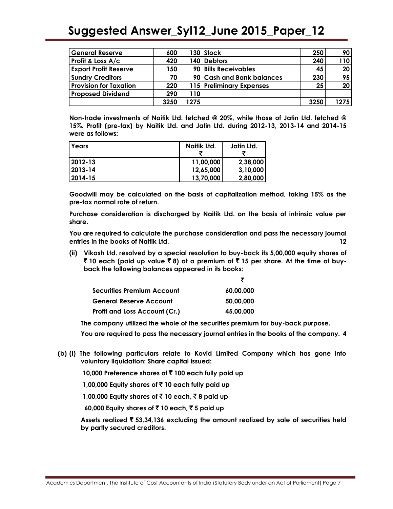| <b>General Reserve</b>        | 600  |      | 130   Stock               | 250  | 90 I            |
|-------------------------------|------|------|---------------------------|------|-----------------|
| Profit & Loss A/c             | 420  |      | 140 Debtors               | 240  | 110             |
| <b>Export Profit Reserve</b>  | 150  |      | 90 Bills Receivables      | 45   | 20 <sub>1</sub> |
| <b>Sundry Creditors</b>       | 70   |      | 90 Cash and Bank balances | 230  | 95 <sub>1</sub> |
| <b>Provision for Taxation</b> | 220  |      | 115 Preliminary Expenses  | 25   | 20 <sub>1</sub> |
| <b>Proposed Dividend</b>      | 290  | 110  |                           |      |                 |
|                               | 3250 | 1275 |                           | 3250 | 1275            |

**Non-trade investments of Naitik Ltd. fetched @ 20%, while those of Jatin Ltd. fetched @ 15%. Profit (pre-tax) by Naitik Ltd. and Jatin Ltd. during 2012-13, 2013-14 and 2014-15 were as follows:**

| l Years      | Naitik Ltd. | Jatin Ltd. |
|--------------|-------------|------------|
| $12012 - 13$ | 11,00,000   | 2,38,000   |
| $12013 - 14$ | 12,65,000   | 3,10,000   |
| 2014-15      | 13,70,000   | 2,80,000   |

**Goodwill may be calculated on the basis of capitalization method, taking 15% as the pre-tax normal rate of return.**

**Purchase consideration is discharged by Naitik Ltd. on the basis of intrinsic value per share.**

**You are required to calculate the purchase consideration and pass the necessary journal entries in the books of Naitik Ltd. 12**

**(ii) Vikash Ltd. resolved by a special resolution to buy-back its 5,00,000 equity shares of**  ` **10 each (paid up value** ` **8) at a premium of** ` **15 per share. At the time of buyback the following balances appeared in its books:**

| Securities Premium Account    | 60.00.000 |
|-------------------------------|-----------|
| General Reserve Account       | 50,00,000 |
| Profit and Loss Account (Cr.) | 45,00,000 |

**The company utilized the whole of the securities premium for buy-back purpose.**

**You are required to pass the necessary journal entries in the books of the company. 4**

- **(b) (i) The following particulars relate to Kovid Limited Company which has gone into voluntary liquidation: Share capital issued:**
	- **10,000 Preference shares of** ` **100 each fully paid up**

**1,00,000 Equity shares of** ` **10 each fully paid up**

**1,00,000 Equity shares of ₹ 10 each, ₹ 8 paid up** 

 **60,000 Equity shares of** ` **10 each,** ` **5 paid up**

**Assets realized** ` **53,34,136 excluding the amount realized by sale of securities held by partly secured creditors.**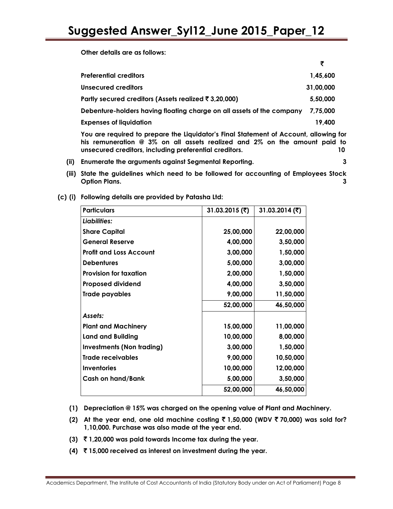**Other details are as follows:**

 $\mathcal{L} = \{ \mathcal{L} = \mathcal{L} \}$ **Preferential creditors 1,45,600**

|                                                                                     | .         |
|-------------------------------------------------------------------------------------|-----------|
| <b>Unsecured creditors</b>                                                          | 31,00,000 |
| Partly secured creditors (Assets realized ₹ 3,20,000)                               | 5,50,000  |
| Debenture-holders having floating charge on all assets of the company               | 7.75.000  |
| <b>Expenses of liquidation</b>                                                      | 19,400    |
| You are required to prepare the Liquidator's Final Statement of Account, allowing t |           |

**You are required to prepare the Liquidator"s Final Statement of Account, allowing for his remuneration @ 3% on all assets realized and 2% on the amount paid to unsecured creditors, including preferential creditors. 10**

- **(ii) Enumerate the arguments against Segmental Reporting. 3**
- **(iii) State the guidelines which need to be followed for accounting of Employees Stock Option Plans. 3**
- **(c) (i) Following details are provided by Patasha Ltd:**

| <b>Particulars</b>               | 31.03.2015 (₹) | 31.03.2014 (₹) |
|----------------------------------|----------------|----------------|
| Liabilities:                     |                |                |
| <b>Share Capital</b>             | 25,00,000      | 22,00,000      |
| <b>General Reserve</b>           | 4,00,000       | 3,50,000       |
| <b>Profit and Loss Account</b>   | 3,00,000       | 1,50,000       |
| <b>Debentures</b>                | 5,00,000       | 3,00,000       |
| <b>Provision for taxation</b>    | 2,00,000       | 1,50,000       |
| <b>Proposed dividend</b>         | 4,00,000       | 3,50,000       |
| Trade payables                   | 9,00,000       | 11,50,000      |
|                                  | 52,00,000      | 46,50,000      |
| Assets:                          |                |                |
| <b>Plant and Machinery</b>       | 15,00,000      | 11,00,000      |
| <b>Land and Building</b>         | 10,00,000      | 8,00,000       |
| <b>Investments (Non trading)</b> | 3,00,000       | 1,50,000       |
| <b>Trade receivables</b>         | 9,00,000       | 10,50,000      |
| <b>Inventories</b>               | 10,00,000      | 12,00,000      |
| <b>Cash on hand/Bank</b>         | 5,00,000       | 3,50,000       |
|                                  | 52,00,000      | 46,50,000      |

- **(1) Depreciation @ 15% was charged on the opening value of Plant and Machinery.**
- **(2) At the year end, one old machine costing** ` **1,50,000 (WDV** ` **70,000) was sold for? 1,10,000. Purchase was also made at the year end.**
- **(3)** ` **1,20,000 was paid towards Income tax during the year.**
- **(4)** ` **15,000 received as interest on investment during the year.**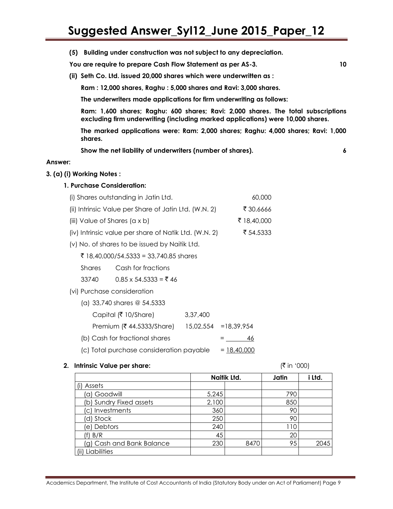**(5) Building under construction was not subject to any depreciation.**

**You are require to prepare Cash Flow Statement as per AS-3. 10**

**(ii) Seth Co. Ltd. issued 20,000 shares which were underwritten as :**

**Ram : 12,000 shares, Raghu : 5,000 shares and Ravi: 3,000 shares.**

**The underwriters made applications for firm underwriting as follows:**

**Ram: 1,600 shares; Raghu: 600 shares; Ravi: 2,000 shares. The total subscriptions excluding firm underwriting (including marked applications) were 10,000 shares.**

**The marked applications were: Ram: 2,000 shares; Raghu: 4,000 shares; Ravi: 1,000 shares.**

**Show the net liability of underwriters (number of shares). 6**

#### **Answer:**

#### **3. (a) (i) Working Notes :**

## **1. Purchase Consideration:**

(i) Shares outstanding in Jatin Ltd. 60,000

| (ii) Intrinsic Value per Share of Jatin Ltd. (W.N. 2) | ₹ 30.6666   |
|-------------------------------------------------------|-------------|
| (iii) Value of Shares $(a \times b)$                  | ₹ 18,40,000 |

- (iv) Intrinsic value per share of Natik Ltd. (W.N. 2)  $\frac{1}{5}$  54.5333
- (v) No. of shares to be issued by Naitik Ltd.
	- $\bar{5}$  18,40,000/54,5333 = 33,740.85 shares
	- Shares Cash for fractions
	- 33740 0.85 x 54.5333 =  $\overline{5}$  46
- (vi) Purchase consideration
	- (a) 33,740 shares @ 54.5333  $Capital$  (₹ 10/Share) 3,37,400
	- Premium (₹ 44.5333/Share) 15,02,554 =18,39,954
	- (b) Cash for fractional shares = 46
	- (c) Total purchase consideration payable  $= 18,40,000$

#### **2. Intrinsic Value per share:**  $(\bar{\zeta} \text{ in } '000)$

|                           |       | Naitik Ltd. |     | i Ltd. |
|---------------------------|-------|-------------|-----|--------|
| (i) Assets                |       |             |     |        |
| (a) Goodwill              | 5,245 |             | 790 |        |
| (b) Sundry Fixed assets   | 2,100 |             | 850 |        |
| (c) Investments           | 360   |             | 90  |        |
| (d) Stock                 | 250   |             | 90  |        |
| (e) Debtors               | 240   |             | 110 |        |
| (f) B/R                   | 45    |             | 20  |        |
| (g) Cash and Bank Balance | 230   | 8470        | 95  | 2045   |
| Liabilities               |       |             |     |        |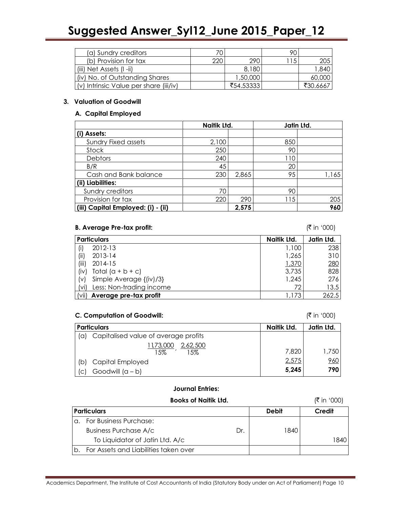| (a) Sundry creditors                   | 70  |           | 90   |          |
|----------------------------------------|-----|-----------|------|----------|
| (b) Provision for tax                  | 220 | 290       | 115. | 205 I    |
| (iii) Net Assets (I -ii)               |     | 8,180     |      | 1,840    |
| (iv) No. of Outstanding Shares         |     | 1,50,000  |      | 60,000   |
| (v) Intrinsic Value per share (iii/iv) |     | ₹54.53333 |      | ₹30.6667 |

#### **3. Valuation of Goodwill**

## **A. Capital Employed**

|                                    | Naitik Ltd. |       | Jatin Ltd. |       |
|------------------------------------|-------------|-------|------------|-------|
| (i) Assets:                        |             |       |            |       |
| <b>Sundry Fixed assets</b>         | 2,100       |       | 850        |       |
| Stock                              | 250         |       | 90         |       |
| <b>Debtors</b>                     | 240         |       | 110        |       |
| B/R                                | 45          |       | 20         |       |
| Cash and Bank balance              | 230         | 2,865 | 95         | 1,165 |
| (ii) Liabilities:                  |             |       |            |       |
| Sundry creditors                   | 70          |       | 90         |       |
| Provision for tax                  | 220         | 290   | 115        | 205   |
| (iii) Capital Employed: (i) - (ii) |             | 2,575 |            | 960   |

# B. Average Pre-tax profit:  $(\bar{z} \text{ in } '000)$

|            | <b>Particulars</b>           | Naitik Ltd. | Jatin Ltd. |
|------------|------------------------------|-------------|------------|
|            | 2012-13                      | 1,100       | 238        |
| (i)        | 2013-14                      | 1,265       | 310        |
| (iii)      | 2014-15                      | 1,370       | <u>280</u> |
| $(i \vee)$ | Total $(a + b + c)$          | 3,735       | 828        |
| (V)        | Simple Average {(iv)/3}      | 1,245       | 276        |
| (vi)       | Less: Non-trading income     | 72          | 13.5       |
|            | (vii) Average pre-tax profit | 1,173       | 262.5      |

# **C. Computation of Goodwill:**  $(\bar{\zeta} \text{ in } '000)$

|     | <b>Particulars</b>                    | Naitik Ltd. | Jatin Ltd. |
|-----|---------------------------------------|-------------|------------|
| (a) | Capitalised value of average profits  |             |            |
|     | 1 1,73,000<br>2,62,500<br>1.5%<br>15% | 7,820       | 1,750      |
| (b) | Capital Employed                      | 2,575       | 960        |
| C   | Goodwill $(a - b)$                    | 5,245       | 790        |

# **Journal Entries:**

# **Books of Naitik Ltd.**  $(\bar{\bar{\zeta}} \text{ in } '000)$

| <b>Particulars</b>                    |     | <b>Debit</b> | Credit |
|---------------------------------------|-----|--------------|--------|
| For Business Purchase:                |     |              |        |
| <b>Business Purchase A/c</b>          | Dr. | 1840         |        |
| To Liquidator of Jatin Ltd. A/c       |     |              | 840    |
| For Assets and Liabilities taken over |     |              |        |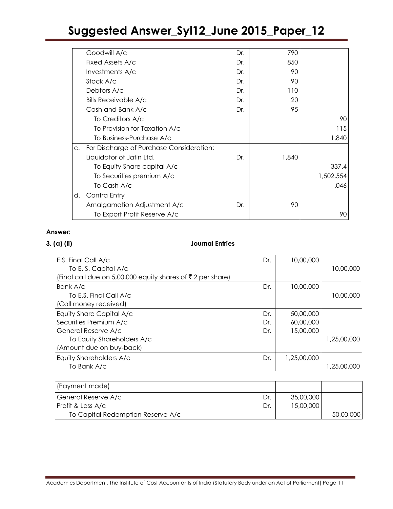|             | Goodwill A/c                             | Dr. | 790   |           |
|-------------|------------------------------------------|-----|-------|-----------|
|             | Fixed Assets A/c                         | Dr. | 850   |           |
|             | Investments A/c                          | Dr. | 90    |           |
|             | Stock A/c                                | Dr. | 90    |           |
|             | Debtors A/c                              | Dr. | 110   |           |
|             | <b>Bills Receivable A/c</b>              | Dr. | 20    |           |
|             | Cash and Bank A/c                        | Dr. | 95    |           |
|             | To Creditors A/c                         |     |       | 90        |
|             | To Provision for Taxation A/c            |     |       | 115       |
|             | To Business-Purchase A/c                 |     |       | 1,840     |
| $C_{\star}$ | For Discharge of Purchase Consideration: |     |       |           |
|             | Liquidator of Jatin Ltd.                 | Dr. | 1,840 |           |
|             | To Equity Share capital A/c              |     |       | 337.4     |
|             | To Securities premium A/c                |     |       | 1,502.554 |
|             | To Cash A/c                              |     |       | .046      |
| d.          | Contra Entry                             |     |       |           |
|             | Amalgamation Adjustment A/c              | Dr. | 90    |           |
|             | To Export Profit Reserve A/c             |     |       | 90        |
|             |                                          |     |       |           |

# **Answer:**

# **3. (a) (ii) Journal Entries**

| E.S. Final Call A/c                                                    | Dr. | 10,00,000   |             |
|------------------------------------------------------------------------|-----|-------------|-------------|
| To E.S. Capital A/c                                                    |     |             | 10,00,000   |
| (Final call due on 5,00,000 equity shares of $\bar{\tau}$ 2 per share) |     |             |             |
| Bank A/c                                                               | Dr. | 10,00,000   |             |
| To E.S. Final Call A/c                                                 |     |             | 10,00,000   |
| (Call money received)                                                  |     |             |             |
| Equity Share Capital A/c                                               | Dr. | 50,00,000   |             |
| Securities Premium A/c                                                 | Dr. | 60,00,000   |             |
| General Reserve A/c                                                    | Dr. | 15,00,000   |             |
| To Equity Shareholders A/c                                             |     |             | 1,25,00,000 |
| (Amount due on buy-back)                                               |     |             |             |
| Equity Shareholders A/c                                                | Dr. | 1,25,00,000 |             |
| To Bank A/c                                                            |     |             | 1,25,00,000 |

| (Payment made)                    |     |           |           |
|-----------------------------------|-----|-----------|-----------|
| General Reserve A/c               | Dr. | 35,00,000 |           |
| Profit & Loss A/c                 | Dr. | 15,00,000 |           |
| To Capital Redemption Reserve A/c |     |           | 50,00,000 |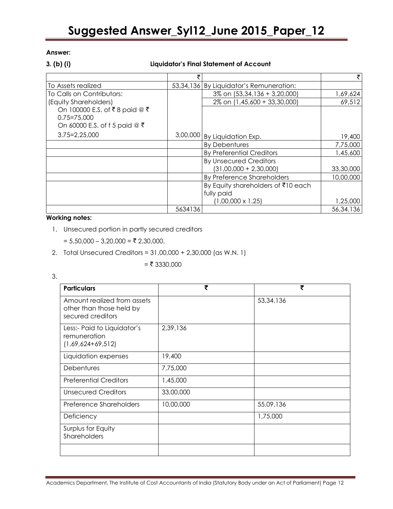# **3. (b) (i) Liquidator"s Final Statement of Account**

| To Assets realized              |         | 53,34,136 By Liquidator's Remuneration: |           |
|---------------------------------|---------|-----------------------------------------|-----------|
| To Calls on Contributors:       |         | 3% on (53,34,136 + 3,20,000)            | 1,69,624  |
| (Equity Shareholders)           |         | 2% on (1,45,600 + 33,30,000)            | 69,512    |
| On 100000 E.S. of ₹8 paid @ ₹   |         |                                         |           |
| $0.75 = 75,000$                 |         |                                         |           |
| On 60000 E.S. of f 5 paid $@$ ₹ |         |                                         |           |
| $3.75 = 2.25,000$               |         | 3,00,000 By Liquidation Exp.            | 19,400    |
|                                 |         | <b>By Debentures</b>                    | 7,75,000  |
|                                 |         | <b>By Preferential Creditors</b>        | 1,45,600  |
|                                 |         | <b>By Unsecured Creditors</b>           |           |
|                                 |         | $(31,00,000 + 2,30,000)$                | 33,30,000 |
|                                 |         | By Preference Shareholders              | 10,00,000 |
|                                 |         | By Equity shareholders of ₹10 each      |           |
|                                 |         | fully paid                              |           |
|                                 |         | $(1,00,000 \times 1.25)$                | 1,25,000  |
|                                 | 5634136 |                                         | 56,34,136 |

# **Working notes:**

- 1. Unsecured portion in partly secured creditors
	- =  $5,50,000 3,20,000 = ₹ 2,30,000$ .
- 2. Total Unsecured Creditors = 31,00,000 + 2,30,000 (as W.N. 1)

 $=$  ₹ 3330,000

| ٠<br>×                        |   |  |
|-------------------------------|---|--|
| ×<br>۰,<br>×<br>I<br>۰.<br>M. | - |  |

| <b>Particulars</b>                                                           | ₹         | ₹           |
|------------------------------------------------------------------------------|-----------|-------------|
| Amount realized from assets<br>other than those held by<br>secured creditors |           | 53, 34, 136 |
| Less:- Paid to Liquidator's<br>remuneration<br>$(1,69,624+69,512)$           | 2,39,136  |             |
| Liquidation expenses                                                         | 19,400    |             |
| <b>Debentures</b>                                                            | 7,75,000  |             |
| <b>Preferential Creditors</b>                                                | 1,45,000  |             |
| <b>Unsecured Creditors</b>                                                   | 33,00,000 |             |
| Preference Shareholders                                                      | 10,00,000 | 55,09,136   |
| Deficiency                                                                   |           | 1,75,000    |
| Surplus for Equity<br>Shareholders                                           |           |             |
|                                                                              |           |             |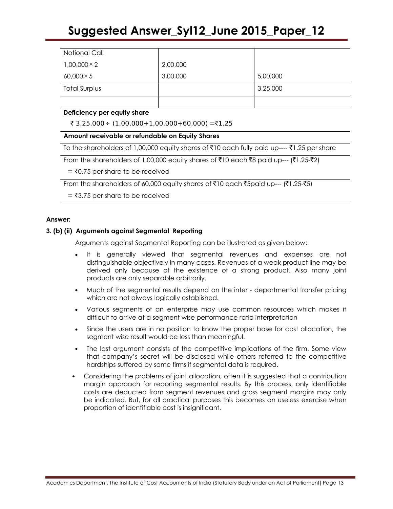| Notional Call                                                                               |          |          |  |  |
|---------------------------------------------------------------------------------------------|----------|----------|--|--|
| $1.00.000 \times 2$                                                                         | 2,00,000 |          |  |  |
| $60,000 \times 5$                                                                           | 3,00,000 | 5,00,000 |  |  |
| <b>Total Surplus</b>                                                                        |          | 3,25,000 |  |  |
|                                                                                             |          |          |  |  |
| Deficiency per equity share                                                                 |          |          |  |  |
| ₹ 3,25,000 ÷ (1,00,000 + 1,00,000 + 60,000) = ₹1.25                                         |          |          |  |  |
| Amount receivable or refundable on Equity Shares                                            |          |          |  |  |
| To the shareholders of 1,00,000 equity shares of ₹10 each fully paid up---- ₹1.25 per share |          |          |  |  |
| From the shareholders of 1,00,000 equity shares of ₹10 each ₹8 paid up--- (₹1.25-₹2)        |          |          |  |  |
| $=$ ₹0.75 per share to be received                                                          |          |          |  |  |
| From the shareholders of 60,000 equity shares of ₹10 each ₹5paid up--- (₹1.25-₹5)           |          |          |  |  |
| $=$ ₹3.75 per share to be received                                                          |          |          |  |  |

## **Answer:**

## **3. (b) (ii) Arguments against Segmental Reporting**

Arguments against Segmental Reporting can be illustrated as given below:

- It is generally viewed that segmental revenues and expenses are not distinguishable objectively in many cases. Revenues of a weak product line may be derived only because of the existence of a strong product. Also many joint products are only separable arbitrarily.
- Much of the segmental results depend on the inter departmental transfer pricing which are not always logically established.
- Various segments of an enterprise may use common resources which makes it difficult to arrive at a segment wise performance ratio interpretation
- Since the users are in no position to know the proper base for cost allocation, the segment wise result would be less than meaningful.
- The last argument consists of the competitive implications of the firm. Some view that company"s secret will be disclosed while others referred to the competitive hardships suffered by some firms if segmental data is required.
- Considering the problems of joint allocation, often it is suggested that a contribution margin approach for reporting segmental results. By this process, only identifiable costs are deducted from segment revenues and gross segment margins may only be indicated. But, for all practical purposes this becomes an useless exercise when proportion of identifiable cost is insignificant.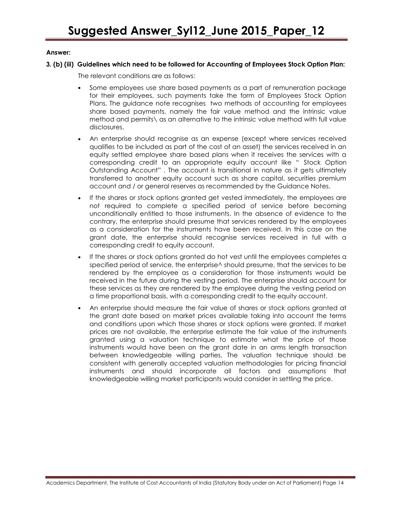#### **3. (b) (iii) Guidelines which need to be followed for Accounting of Employees Stock Option Plan:**

The relevant conditions are as follows:

- Some employees use share based payments as a part of remuneration package for their employees, such payments take the form of Employees Stock Option Plans. The guidance note recognises two methods of accounting for employees share based payments, namely the fair value method and the intrinsic value method and permits\ as an alternative to the intrinsic value method with full value disclosures.
- An enterprise should recognise as an expense (except where services received qualifies to be included as part of the cost of an asset) the services received in an equity settled employee share based plans when it receives the services with a corresponding credit to an appropriate equity account like " Stock Option Outstanding Account" . The account is transitional in nature as it gets ultimately transferred to another equity account such as share capital, securities premium account and / or general reserves as recommended by the Guidance Notes.
- If the shares or stock options granted get vested immediately, the employees are not required to complete a specified period of service before becoming unconditionally entitled to those instruments. In the absence of evidence to the contrary, the enterprise should presume that services rendered by the employees as a consideration for the instruments have been received. In this case on the grant date, the enterprise should recognise services received in full with a corresponding credit to equity account.
- If the shares or stock options granted do hot vest until the employees completes a specified period of service, the enterprise<sup> $\wedge$ </sup> should presume, that the services to be rendered by the employee as a consideration for those instruments would be received in the future during the vesting period. The enterprise should account for these services as they are rendered by the employee during the vesting period on a time proportional basis, with a corresponding credit to the equity account.
- An enterprise should measure the fair value of shares or stock options granted at the grant date based on market prices available taking into account the terms and conditions upon which those shares or stock options were granted. If market prices are not available, the enterprise estimate the fair value of the instruments granted using a valuation technique to estimate what the price of those instruments would have been on the grant date in an arms length transaction between knowledgeable willing parties. The valuation technique should be consistent with generally accepted valuation methodologies for pricing financial instruments and should incorporate all factors and assumptions that knowledgeable willing market participants would consider in settling the price.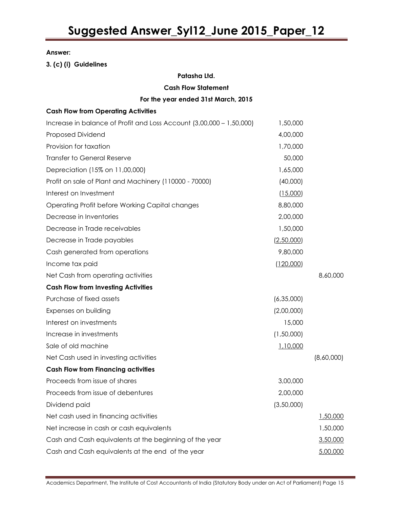**3. (c) (i) Guidelines**

# **Patasha Ltd.**

**Cash Flow Statement**

# **For the year ended 31st March, 2015**

# **Cash Flow from Operating Activities**

| Increase in balance of Profit and Loss Account (3,00,000 - 1,50,000) | 1,50,000   |            |
|----------------------------------------------------------------------|------------|------------|
| Proposed Dividend                                                    | 4,00,000   |            |
| Provision for taxation                                               | 1,70,000   |            |
| <b>Transfer to General Reserve</b>                                   | 50,000     |            |
| Depreciation (15% on 11,00,000)                                      | 1,65,000   |            |
| Profit on sale of Plant and Machinery (110000 - 70000)               | (40,000)   |            |
| Interest on Investment                                               | (15,000)   |            |
| Operating Profit before Working Capital changes                      | 8,80,000   |            |
| Decrease in Inventories                                              | 2,00,000   |            |
| Decrease in Trade receivables                                        | 1,50,000   |            |
| Decrease in Trade payables                                           | (2,50,000) |            |
| Cash generated from operations                                       | 9,80,000   |            |
| Income tax paid                                                      | (120,000)  |            |
| Net Cash from operating activities                                   |            | 8,60,000   |
| <b>Cash Flow from Investing Activities</b>                           |            |            |
| Purchase of fixed assets                                             | (6,35,000) |            |
| Expenses on building                                                 | (2,00,000) |            |
| Interest on investments                                              | 15,000     |            |
| Increase in investments                                              | (1,50,000) |            |
| Sale of old machine                                                  | 1,10,000   |            |
| Net Cash used in investing activities                                |            | (8,60,000) |
| <b>Cash Flow from Financing activities</b>                           |            |            |
| Proceeds from issue of shares                                        | 3,00,000   |            |
| Proceeds from issue of debentures                                    | 2,00,000   |            |
| Dividend paid                                                        | (3,50,000) |            |
| Net cash used in financing activities                                |            | 1,50,000   |
| Net increase in cash or cash equivalents                             |            | 1,50,000   |
| Cash and Cash equivalents at the beginning of the year               |            | 3,50,000   |
| Cash and Cash equivalents at the end of the year                     |            | 5,00,000   |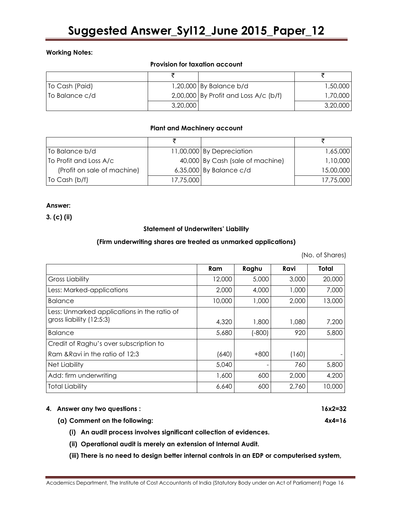# **Working Notes:**

## **Provision for taxation account**

| To Cash (Paid) |          | 1,20,000 By Balance b/d                 | 1,50,000 |
|----------------|----------|-----------------------------------------|----------|
| To Balance c/d |          | $2,00,000$ By Profit and Loss A/c (b/f) | 1,70,000 |
|                | 3,20,000 |                                         | 3,20,000 |

## **Plant and Machinery account**

| To Balance b/d              |           | 11,00,000 By Depreciation        | 1,65,000  |
|-----------------------------|-----------|----------------------------------|-----------|
| To Profit and Loss A/c      |           | 40,000 By Cash (sale of machine) | 1,10,000  |
| (Profit on sale of machine) |           | $6,35,000$ By Balance c/d        | 15,00,000 |
| To Cash $(b/f)$             | 17,75,000 |                                  | 17,75,000 |

# **Answer:**

**3. (c) (ii)**

#### **Statement of Underwriters" Liability**

# **(Firm underwriting shares are treated as unmarked applications)**

(No. of Shares)

|                                             | Ram    | Raghu    | Ravi  | Total  |
|---------------------------------------------|--------|----------|-------|--------|
| <b>Gross Liability</b>                      | 12,000 | 5,000    | 3,000 | 20,000 |
| Less: Marked-applications                   | 2,000  | 4,000    | 1,000 | 7,000  |
| <b>Balance</b>                              | 10,000 | 1,000    | 2,000 | 13,000 |
| Less: Unmarked applications in the ratio of |        |          |       |        |
| gross liability (12:5:3)                    | 4,320  | 1,800    | 1,080 | 7,200  |
| <b>Balance</b>                              | 5,680  | $(-800)$ | 920   | 5,800  |
| Credit of Raghu's over subscription to      |        |          |       |        |
| Ram & Ravi in the ratio of 12:3             | (640)  | $+800$   | (160) |        |
| <b>Net Liability</b>                        | 5,040  |          | 760   | 5,800  |
| Add: firm underwriting                      | 1,600  | 600      | 2,000 | 4,200  |
| <b>Total Liability</b>                      | 6,640  | 600      | 2,760 | 10,000 |

## **4. Answer any two questions : 16x2=32**

## **(a) Comment on the following: 4x4=16**

- **(i) An audit process involves significant collection of evidences.**
- **(ii) Operational audit is merely an extension of Internal Audit.**
- **(iii) There is no need to design better internal controls in an EDP or computerised system,**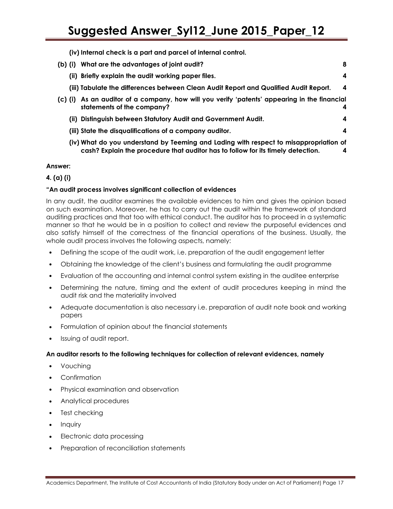**(iv) Internal check is a part and parcel of internal control.**

| (b) (i)   | What are the advantages of joint audit?                                                                                                                                   | 8                |
|-----------|---------------------------------------------------------------------------------------------------------------------------------------------------------------------------|------------------|
|           | (ii) Briefly explain the audit working paper files.                                                                                                                       | 4                |
|           | (iii) Tabulate the differences between Clean Audit Report and Qualified Audit Report.                                                                                     | $\boldsymbol{4}$ |
| $(c)$ (i) | As an auditor of a company, how will you verify 'patents' appearing in the financial<br>statements of the company?                                                        | 4                |
|           | (ii) Distinguish between Statutory Audit and Government Audit.                                                                                                            | 4                |
|           | (iii) State the disqualifications of a company auditor.                                                                                                                   | 4                |
|           | (iv) What do you understand by Teeming and Lading with respect to misappropriation of<br>cash? Explain the procedure that auditor has to follow for its timely detection. | 4                |

# **Answer:**

# **4. (a) (i)**

# **"An audit process involves significant collection of evidences**

In any audit, the auditor examines the available evidences to him and gives the opinion based on such examination. Moreover, he has to carry out the audit within the framework of standard auditing practices and that too with ethical conduct. The auditor has to proceed in a systematic manner so that he would be in a position to collect and review the purposeful evidences and also satisfy himself of the correctness of the financial operations of the business. Usually, the whole audit process involves the following aspects, namely:

- Defining the scope of the audit work, i.e. preparation of the audit engagement letter
- Obtaining the knowledge of the client"s business and formulating the audit programme
- Evaluation of the accounting and internal control system existing in the auditee enterprise
- Determining the nature, timing and the extent of audit procedures keeping in mind the audit risk and the materiality involved
- Adequate documentation is also necessary i.e. preparation of audit note book and working papers
- Formulation of opinion about the financial statements
- Issuing of audit report.

## **An auditor resorts to the following techniques for collection of relevant evidences, namely**

- Vouching
- Confirmation
- Physical examination and observation
- Analytical procedures
- Test checking
- Inquiry
- Electronic data processing
- Preparation of reconciliation statements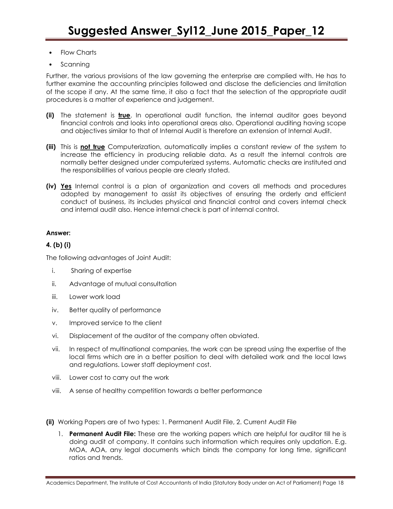- Flow Charts
- Scanning

Further, the various provisions of the law governing the enterprise are complied with. He has to further examine the accounting principles followed and disclose the deficiencies and limitation of the scope if any. At the same time, it also a fact that the selection of the appropriate audit procedures is a matter of experience and judgement.

- **(ii)** The statement is **true**. In operational audit function, the internal auditor goes beyond financial controls and looks into operational areas also. Operational auditing having scope and objectives similar to that of Internal Audit is therefore an extension of Internal Audit.
- **(iii)** This is **not true** Computerization, automatically implies a constant review of the system to increase the efficiency in producing reliable data. As a result the internal controls are normally better designed under computerized systems. Automatic checks are instituted and the responsibilities of various people are clearly stated.
- **(iv) Yes** Internal control is a plan of organization and covers all methods and procedures adopted by management to assist its objectives of ensuring the orderly and efficient conduct of business, its includes physical and financial control and covers internal check and internal audit also. Hence internal check is part of internal control.

## **Answer:**

## **4. (b) (i)**

The following advantages of Joint Audit:

- i. Sharing of expertise
- ii. Advantage of mutual consultation
- iii. Lower work load
- iv. Better quality of performance
- v. Improved service to the client
- vi. Displacement of the auditor of the company often obviated.
- vii. In respect of multinational companies, the work can be spread using the expertise of the local firms which are in a better position to deal with detailed work and the local laws and regulations. Lower staff deployment cost.
- viii. Lower cost to carry out the work
- viii. A sense of healthy competition towards a better performance
- **(ii)** Working Papers are of two types: 1. Permanent Audit File, 2. Current Audit File
	- 1. **Permanent Audit File:** These are the working papers which are helpful for auditor till he is doing audit of company. It contains such information which requires only updation. E.g. MOA, AOA, any legal documents which binds the company for long time, significant ratios and trends.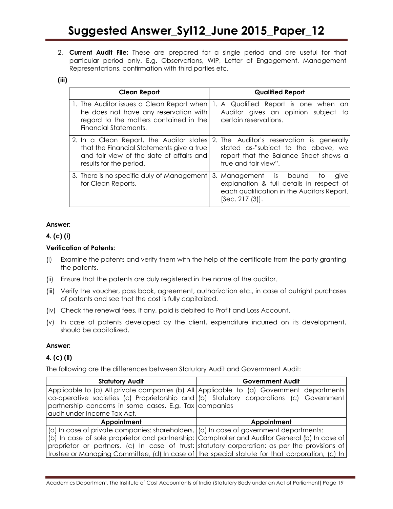2. **Current Audit File:** These are prepared for a single period and are useful for that particular period only. E.g. Observations, WIP, Letter of Engagement, Management Representations, confirmation with third parties etc.

## **(iii)**

| <b>Clean Report</b>                                                                                                                                           | <b>Qualified Report</b>                                                                                                                            |
|---------------------------------------------------------------------------------------------------------------------------------------------------------------|----------------------------------------------------------------------------------------------------------------------------------------------------|
| 1. The Auditor issues a Clean Report when<br>he does not have any reservation with<br>regard to the matters contained in the<br><b>Financial Statements.</b>  | 1. A Qualified Report is one when an<br>Auditor gives an opinion subject to<br>certain reservations.                                               |
| 2. In a Clean Report, the Auditor states<br>that the Financial Statements give a true<br>and fair view of the slate of affairs and<br>results for the period. | 2. The Auditor's reservation is generally<br>stated as-"subject to the above, we<br>report that the Balance Sheet shows a<br>true and fair view".  |
| 3. There is no specific duly of Management<br>for Clean Reports.                                                                                              | 3. Management is bound<br>give<br>TO.<br>explanation & full details in respect of<br>each qualification in the Auditors Report.<br>[Sec. 217 (3)]. |

## **Answer:**

# **4. (c) (i)**

# **Verification of Patents:**

- (i) Examine the patents and verify them with the help of the certificate from the party granting the patents.
- (ii) Ensure that the patents are duly registered in the name of the auditor.
- (iii) Verify the voucher, pass book, agreement, authorization etc., in case of outright purchases of patents and see that the cost is fully capitalized.
- (iv) Check the renewal fees, if any, paid is debited to Profit and Loss Account.
- (v) In case of patents developed by the client, expenditure incurred on its development, should be capitalized.

## **Answer:**

# **4. (c) (ii)**

The following are the differences between Statutory Audit and Government Audit:

| <b>Statutory Audit</b>                                                                                       | <b>Government Audit</b>                                                                        |
|--------------------------------------------------------------------------------------------------------------|------------------------------------------------------------------------------------------------|
|                                                                                                              | Applicable to (a) All private companies (b) All Applicable to (a) Government departments       |
|                                                                                                              | co-operative societies (c) Proprietorship and (b) Statutory corporations (c) Government        |
| partnership concerns in some cases. E.g. Tax companies                                                       |                                                                                                |
| audit under Income Tax Act.                                                                                  |                                                                                                |
| Appointment                                                                                                  | Appointment                                                                                    |
| $\alpha$   (a) In case of private companies: shareholders, $\alpha$   (a) In case of government departments: |                                                                                                |
|                                                                                                              | (b) In case of sole proprietor and partnership: Comptroller and Auditor General (b) In case of |
|                                                                                                              | proprietor or partners, (c) In case of trust: statutory corporation: as per the provisions of  |
|                                                                                                              | trustee or Managing Committee, (d) In case of the special statute for that corporation, (c) In |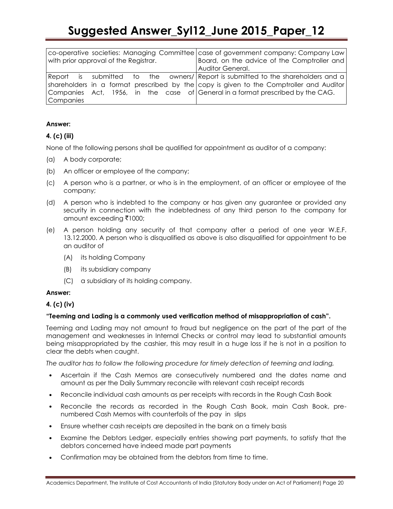|                                       |  |  |  | co-operative societies: Managing Committee case of government company: Company Law      |
|---------------------------------------|--|--|--|-----------------------------------------------------------------------------------------|
| with prior approval of the Registrar. |  |  |  | Board, on the advice of the Comptroller and                                             |
|                                       |  |  |  | Auditor General.                                                                        |
|                                       |  |  |  | Report is submitted to the owners/ Report-is-submitted-to-the-shareholders-and-al-      |
|                                       |  |  |  | shareholders in a format prescribed by the copy is given to the Comptroller and Auditor |
|                                       |  |  |  | Companies Act, 1956, in the case of General in a format prescribed by the CAG.          |
| Companies                             |  |  |  |                                                                                         |

# **Answer:**

# **4. (c) (iii)**

None of the following persons shall be qualified for appointment as auditor of a company:

- (a) A body corporate;
- (b) An officer or employee of the company;
- (c) A person who is a partner, or who is in the employment, of an officer or employee of the company;
- (d) A person who is indebted to the company or has given any guarantee or provided any security in connection with the indebtedness of any third person to the company for amount exceeding ₹1000;
- (e) A person holding any security of that company after a period of one year W.E.F. 13.12.2000. A person who is disqualified as above is also disqualified for appointment to be an auditor of
	- (A) its holding Company
	- (B) its subsidiary company
	- (C) a subsidiary of its holding company.

#### **Answer:**

## **4. (c) (iv)**

## **"Teeming and Lading is a commonly used verification method of misappropriation of cash".**

Teeming and Lading may not amount to fraud but negligence on the part of the part of the management and weaknesses in Internal Checks or control may lead to substantial amounts being misappropriated by the cashier, this may result in a huge loss if he is not in a position to clear the debts when caught.

*The auditor has to follow the following procedure for timely detection of teeming and lading,*

- Ascertain if the Cash Memos are consecutively numbered and the dates name and amount as per the Daily Summary reconcile with relevant cash receipt records
- Reconcile individual cash amounts as per receipts with records in the Rough Cash Book
- Reconcile the records as recorded in the Rough Cash Book, main Cash Book, prenumbered Cash Memos with counterfoils of the pay in slips
- Ensure whether cash receipts are deposited in the bank on a timely basis
- Examine the Debtors Ledger, especially entries showing part payments, to satisfy that the debtors concerned have indeed made part payments
- Confirmation may be obtained from the debtors from time to time.